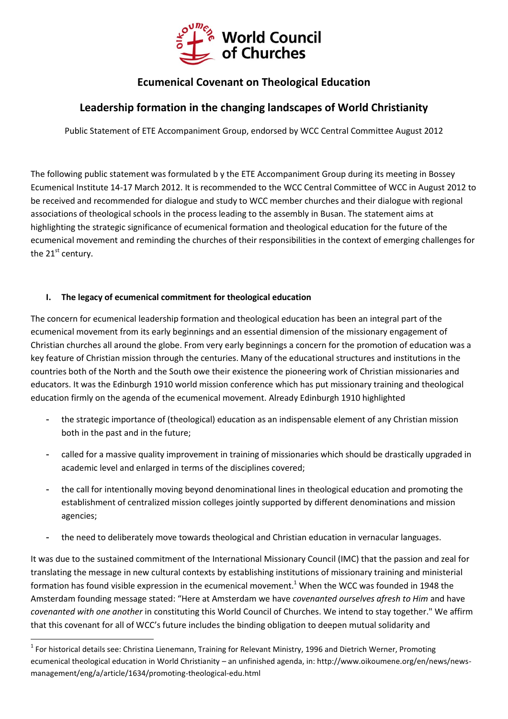

# **Ecumenical Covenant on Theological Education**

# **Leadership formation in the changing landscapes of World Christianity**

Public Statement of ETE Accompaniment Group, endorsed by WCC Central Committee August 2012

The following public statement was formulated b y the ETE Accompaniment Group during its meeting in Bossey Ecumenical Institute 14-17 March 2012. It is recommended to the WCC Central Committee of WCC in August 2012 to be received and recommended for dialogue and study to WCC member churches and their dialogue with regional associations of theological schools in the process leading to the assembly in Busan. The statement aims at highlighting the strategic significance of ecumenical formation and theological education for the future of the ecumenical movement and reminding the churches of their responsibilities in the context of emerging challenges for the  $21<sup>st</sup>$  century.

### **I. The legacy of ecumenical commitment for theological education**

1

The concern for ecumenical leadership formation and theological education has been an integral part of the ecumenical movement from its early beginnings and an essential dimension of the missionary engagement of Christian churches all around the globe. From very early beginnings a concern for the promotion of education was a key feature of Christian mission through the centuries. Many of the educational structures and institutions in the countries both of the North and the South owe their existence the pioneering work of Christian missionaries and educators. It was the Edinburgh 1910 world mission conference which has put missionary training and theological education firmly on the agenda of the ecumenical movement. Already Edinburgh 1910 highlighted

- the strategic importance of (theological) education as an indispensable element of any Christian mission both in the past and in the future;
- called for a massive quality improvement in training of missionaries which should be drastically upgraded in academic level and enlarged in terms of the disciplines covered;
- the call for intentionally moving beyond denominational lines in theological education and promoting the establishment of centralized mission colleges jointly supported by different denominations and mission agencies;
- the need to deliberately move towards theological and Christian education in vernacular languages.

It was due to the sustained commitment of the International Missionary Council (IMC) that the passion and zeal for translating the message in new cultural contexts by establishing institutions of missionary training and ministerial formation has found visible expression in the ecumenical movement.<sup>1</sup> When the WCC was founded in 1948 the Amsterdam founding message stated: "Here at Amsterdam we have *covenanted ourselves afresh to Him* and have *covenanted with one another* in constituting this World Council of Churches. We intend to stay together." We affirm that this covenant for all of WCC's future includes the binding obligation to deepen mutual solidarity and

 $1$  For historical details see: Christina Lienemann, Training for Relevant Ministry, 1996 and Dietrich Werner, Promoting ecumenical theological education in World Christianity – an unfinished agenda, in: http://www.oikoumene.org/en/news/newsmanagement/eng/a/article/1634/promoting-theological-edu.html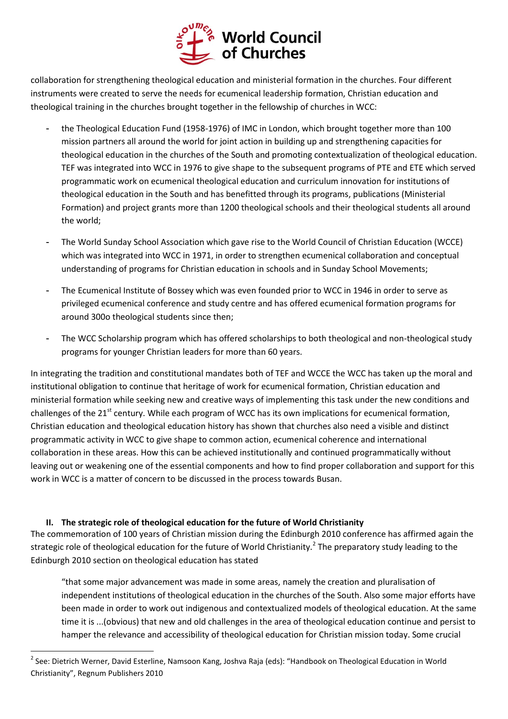

collaboration for strengthening theological education and ministerial formation in the churches. Four different instruments were created to serve the needs for ecumenical leadership formation, Christian education and theological training in the churches brought together in the fellowship of churches in WCC:

- the Theological Education Fund (1958-1976) of IMC in London, which brought together more than 100 mission partners all around the world for joint action in building up and strengthening capacities for theological education in the churches of the South and promoting contextualization of theological education. TEF was integrated into WCC in 1976 to give shape to the subsequent programs of PTE and ETE which served programmatic work on ecumenical theological education and curriculum innovation for institutions of theological education in the South and has benefitted through its programs, publications (Ministerial Formation) and project grants more than 1200 theological schools and their theological students all around the world;
- The World Sunday School Association which gave rise to the World Council of Christian Education (WCCE) which was integrated into WCC in 1971, in order to strengthen ecumenical collaboration and conceptual understanding of programs for Christian education in schools and in Sunday School Movements;
- The Ecumenical Institute of Bossey which was even founded prior to WCC in 1946 in order to serve as privileged ecumenical conference and study centre and has offered ecumenical formation programs for around 300o theological students since then;
- The WCC Scholarship program which has offered scholarships to both theological and non-theological study programs for younger Christian leaders for more than 60 years.

In integrating the tradition and constitutional mandates both of TEF and WCCE the WCC has taken up the moral and institutional obligation to continue that heritage of work for ecumenical formation, Christian education and ministerial formation while seeking new and creative ways of implementing this task under the new conditions and challenges of the 21<sup>st</sup> century. While each program of WCC has its own implications for ecumenical formation, Christian education and theological education history has shown that churches also need a visible and distinct programmatic activity in WCC to give shape to common action, ecumenical coherence and international collaboration in these areas. How this can be achieved institutionally and continued programmatically without leaving out or weakening one of the essential components and how to find proper collaboration and support for this work in WCC is a matter of concern to be discussed in the process towards Busan.

### **II. The strategic role of theological education for the future of World Christianity**

1

The commemoration of 100 years of Christian mission during the Edinburgh 2010 conference has affirmed again the strategic role of theological education for the future of World Christianity.<sup>2</sup> The preparatory study leading to the Edinburgh 2010 section on theological education has stated

"that some major advancement was made in some areas, namely the creation and pluralisation of independent institutions of theological education in the churches of the South. Also some major efforts have been made in order to work out indigenous and contextualized models of theological education. At the same time it is ...(obvious) that new and old challenges in the area of theological education continue and persist to hamper the relevance and accessibility of theological education for Christian mission today. Some crucial

<sup>&</sup>lt;sup>2</sup> See: Dietrich Werner, David Esterline, Namsoon Kang, Joshva Raja (eds): "Handbook on Theological Education in World Christianity", Regnum Publishers 2010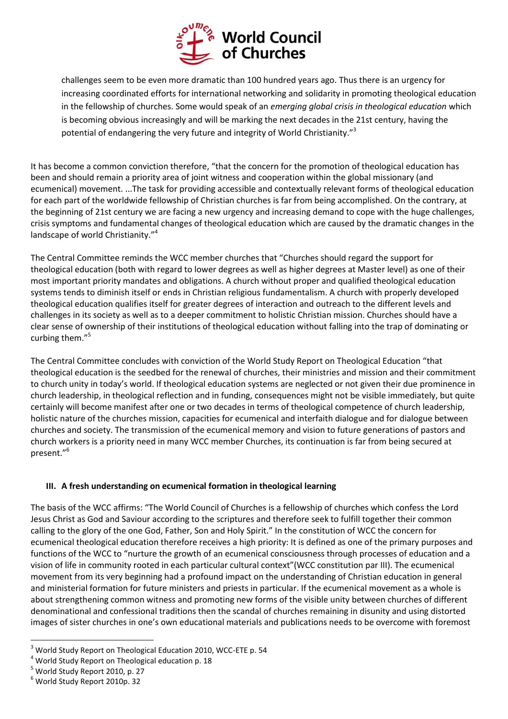

challenges seem to be even more dramatic than 100 hundred years ago. Thus there is an urgency for increasing coordinated efforts for international networking and solidarity in promoting theological education in the fellowship of churches. Some would speak of an *emerging global crisis in theological education* which is becoming obvious increasingly and will be marking the next decades in the 21st century, having the potential of endangering the very future and integrity of World Christianity."<sup>3</sup>

It has become a common conviction therefore, "that the concern for the promotion of theological education has been and should remain a priority area of joint witness and cooperation within the global missionary (and ecumenical) movement. ...The task for providing accessible and contextually relevant forms of theological education for each part of the worldwide fellowship of Christian churches is far from being accomplished. On the contrary, at the beginning of 21st century we are facing a new urgency and increasing demand to cope with the huge challenges, crisis symptoms and fundamental changes of theological education which are caused by the dramatic changes in the landscape of world Christianity."<sup>4</sup>

The Central Committee reminds the WCC member churches that "Churches should regard the support for theological education (both with regard to lower degrees as well as higher degrees at Master level) as one of their most important priority mandates and obligations. A church without proper and qualified theological education systems tends to diminish itself or ends in Christian religious fundamentalism. A church with properly developed theological education qualifies itself for greater degrees of interaction and outreach to the different levels and challenges in its society as well as to a deeper commitment to holistic Christian mission. Churches should have a clear sense of ownership of their institutions of theological education without falling into the trap of dominating or curbing them."<sup>5</sup>

The Central Committee concludes with conviction of the World Study Report on Theological Education "that theological education is the seedbed for the renewal of churches, their ministries and mission and their commitment to church unity in today's world. If theological education systems are neglected or not given their due prominence in church leadership, in theological reflection and in funding, consequences might not be visible immediately, but quite certainly will become manifest after one or two decades in terms of theological competence of church leadership, holistic nature of the churches mission, capacities for ecumenical and interfaith dialogue and for dialogue between churches and society. The transmission of the ecumenical memory and vision to future generations of pastors and church workers is a priority need in many WCC member Churches, its continuation is far from being secured at present."<sup>6</sup>

### **III. A fresh understanding on ecumenical formation in theological learning**

The basis of the WCC affirms: "The World Council of Churches is a fellowship of churches which confess the Lord Jesus Christ as God and Saviour according to the scriptures and therefore seek to fulfill together their common calling to the glory of the one God, Father, Son and Holy Spirit." In the constitution of WCC the concern for ecumenical theological education therefore receives a high priority: It is defined as one of the primary purposes and functions of the WCC to "nurture the growth of an ecumenical consciousness through processes of education and a vision of life in community rooted in each particular cultural context"(WCC constitution par III). The ecumenical movement from its very beginning had a profound impact on the understanding of Christian education in general and ministerial formation for future ministers and priests in particular. If the ecumenical movement as a whole is about strengthening common witness and promoting new forms of the visible unity between churches of different denominational and confessional traditions then the scandal of churches remaining in disunity and using distorted images of sister churches in one's own educational materials and publications needs to be overcome with foremost

1

<sup>3</sup> World Study Report on Theological Education 2010, WCC-ETE p. 54

<sup>4</sup> World Study Report on Theological education p. 18

<sup>5</sup> World Study Report 2010, p. 27

<sup>6</sup> World Study Report 2010p. 32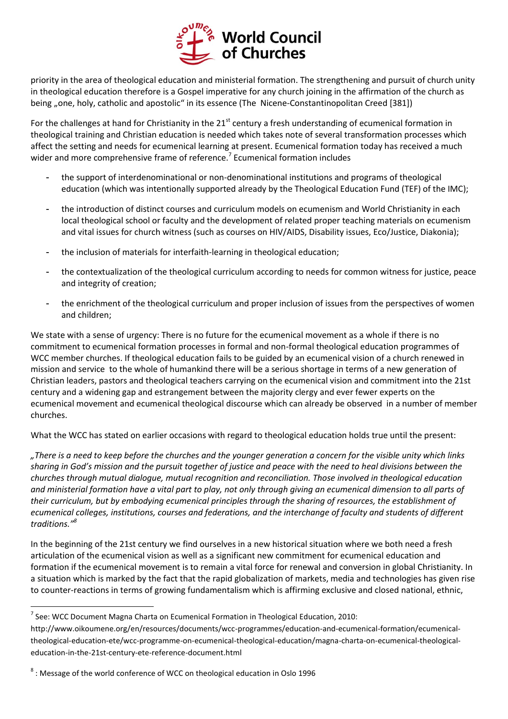

priority in the area of theological education and ministerial formation. The strengthening and pursuit of church unity in theological education therefore is a Gospel imperative for any church joining in the affirmation of the church as being "one, holy, catholic and apostolic" in its essence (The Nicene-Constantinopolitan Creed [381])

For the challenges at hand for Christianity in the  $21<sup>st</sup>$  century a fresh understanding of ecumenical formation in theological training and Christian education is needed which takes note of several transformation processes which affect the setting and needs for ecumenical learning at present. Ecumenical formation today has received a much wider and more comprehensive frame of reference.<sup>7</sup> Ecumenical formation includes

- the support of interdenominational or non-denominational institutions and programs of theological education (which was intentionally supported already by the Theological Education Fund (TEF) of the IMC);
- the introduction of distinct courses and curriculum models on ecumenism and World Christianity in each local theological school or faculty and the development of related proper teaching materials on ecumenism and vital issues for church witness (such as courses on HIV/AIDS, Disability issues, Eco/Justice, Diakonia);
- the inclusion of materials for interfaith-learning in theological education;
- the contextualization of the theological curriculum according to needs for common witness for justice, peace and integrity of creation;
- the enrichment of the theological curriculum and proper inclusion of issues from the perspectives of women and children;

We state with a sense of urgency: There is no future for the ecumenical movement as a whole if there is no commitment to ecumenical formation processes in formal and non-formal theological education programmes of WCC member churches. If theological education fails to be guided by an ecumenical vision of a church renewed in mission and service to the whole of humankind there will be a serious shortage in terms of a new generation of Christian leaders, pastors and theological teachers carrying on the ecumenical vision and commitment into the 21st century and a widening gap and estrangement between the majority clergy and ever fewer experts on the ecumenical movement and ecumenical theological discourse which can already be observed in a number of member churches.

What the WCC has stated on earlier occasions with regard to theological education holds true until the present:

*"There is a need to keep before the churches and the younger generation a concern for the visible unity which links sharing in God's mission and the pursuit together of justice and peace with the need to heal divisions between the churches through mutual dialogue, mutual recognition and reconciliation. Those involved in theological education and ministerial formation have a vital part to play, not only through giving an ecumenical dimension to all parts of their curriculum, but by embodying ecumenical principles through the sharing of resources, the establishment of ecumenical colleges, institutions, courses and federations, and the interchange of faculty and students of different traditions."<sup>8</sup>*

In the beginning of the 21st century we find ourselves in a new historical situation where we both need a fresh articulation of the ecumenical vision as well as a significant new commitment for ecumenical education and formation if the ecumenical movement is to remain a vital force for renewal and conversion in global Christianity. In a situation which is marked by the fact that the rapid globalization of markets, media and technologies has given rise to counter-reactions in terms of growing fundamentalism which is affirming exclusive and closed national, ethnic,

1

 $<sup>7</sup>$  See: WCC Document Magna Charta on Ecumenical Formation in Theological Education, 2010:</sup>

http://www.oikoumene.org/en/resources/documents/wcc-programmes/education-and-ecumenical-formation/ecumenicaltheological-education-ete/wcc-programme-on-ecumenical-theological-education/magna-charta-on-ecumenical-theologicaleducation-in-the-21st-century-ete-reference-document.html

 $^8$  : Message of the world conference of WCC on theological education in Oslo 1996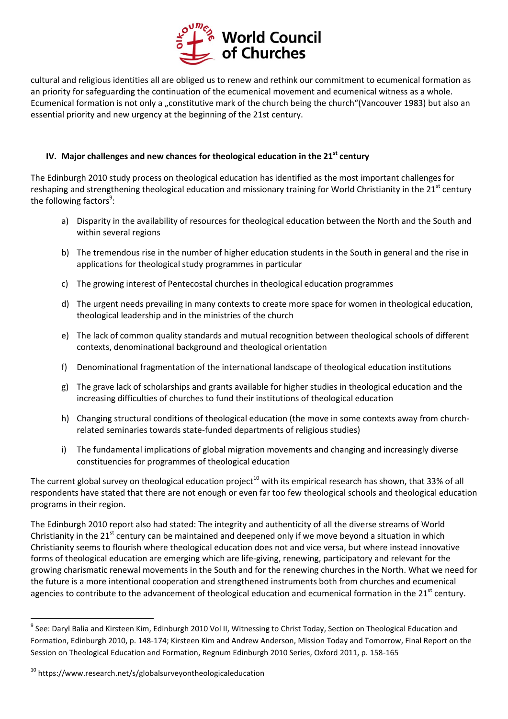

cultural and religious identities all are obliged us to renew and rethink our commitment to ecumenical formation as an priority for safeguarding the continuation of the ecumenical movement and ecumenical witness as a whole. Ecumenical formation is not only a "constitutive mark of the church being the church"(Vancouver 1983) but also an essential priority and new urgency at the beginning of the 21st century.

#### **IV. Major challenges and new chances for theological education in the 21st century**

The Edinburgh 2010 study process on theological education has identified as the most important challenges for reshaping and strengthening theological education and missionary training for World Christianity in the  $21<sup>st</sup>$  century the following factors<sup>9</sup>:

- a) Disparity in the availability of resources for theological education between the North and the South and within several regions
- b) The tremendous rise in the number of higher education students in the South in general and the rise in applications for theological study programmes in particular
- c) The growing interest of Pentecostal churches in theological education programmes
- d) The urgent needs prevailing in many contexts to create more space for women in theological education, theological leadership and in the ministries of the church
- e) The lack of common quality standards and mutual recognition between theological schools of different contexts, denominational background and theological orientation
- f) Denominational fragmentation of the international landscape of theological education institutions
- g) The grave lack of scholarships and grants available for higher studies in theological education and the increasing difficulties of churches to fund their institutions of theological education
- h) Changing structural conditions of theological education (the move in some contexts away from churchrelated seminaries towards state-funded departments of religious studies)
- i) The fundamental implications of global migration movements and changing and increasingly diverse constituencies for programmes of theological education

The current global survey on theological education project<sup>10</sup> with its empirical research has shown, that 33% of all respondents have stated that there are not enough or even far too few theological schools and theological education programs in their region.

The Edinburgh 2010 report also had stated: The integrity and authenticity of all the diverse streams of World Christianity in the  $21<sup>st</sup>$  century can be maintained and deepened only if we move beyond a situation in which Christianity seems to flourish where theological education does not and vice versa, but where instead innovative forms of theological education are emerging which are life-giving, renewing, participatory and relevant for the growing charismatic renewal movements in the South and for the renewing churches in the North. What we need for the future is a more intentional cooperation and strengthened instruments both from churches and ecumenical agencies to contribute to the advancement of theological education and ecumenical formation in the 21<sup>st</sup> century.

 9 See: Daryl Balia and Kirsteen Kim, Edinburgh 2010 Vol II, Witnessing to Christ Today, Section on Theological Education and Formation, Edinburgh 2010, p. 148-174; Kirsteen Kim and Andrew Anderson, Mission Today and Tomorrow, Final Report on the Session on Theological Education and Formation, Regnum Edinburgh 2010 Series, Oxford 2011, p. 158-165

<sup>&</sup>lt;sup>10</sup> https://www.research.net/s/globalsurveyontheologicaleducation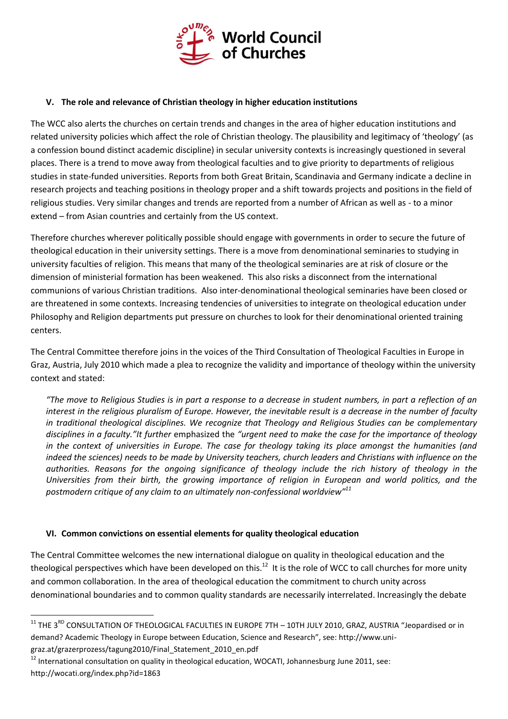

### **V. The role and relevance of Christian theology in higher education institutions**

The WCC also alerts the churches on certain trends and changes in the area of higher education institutions and related university policies which affect the role of Christian theology. The plausibility and legitimacy of 'theology' (as a confession bound distinct academic discipline) in secular university contexts is increasingly questioned in several places. There is a trend to move away from theological faculties and to give priority to departments of religious studies in state-funded universities. Reports from both Great Britain, Scandinavia and Germany indicate a decline in research projects and teaching positions in theology proper and a shift towards projects and positions in the field of religious studies. Very similar changes and trends are reported from a number of African as well as - to a minor extend – from Asian countries and certainly from the US context.

Therefore churches wherever politically possible should engage with governments in order to secure the future of theological education in their university settings. There is a move from denominational seminaries to studying in university faculties of religion. This means that many of the theological seminaries are at risk of closure or the dimension of ministerial formation has been weakened. This also risks a disconnect from the international communions of various Christian traditions. Also inter-denominational theological seminaries have been closed or are threatened in some contexts. Increasing tendencies of universities to integrate on theological education under Philosophy and Religion departments put pressure on churches to look for their denominational oriented training centers.

The Central Committee therefore joins in the voices of the Third Consultation of Theological Faculties in Europe in Graz, Austria, July 2010 which made a plea to recognize the validity and importance of theology within the university context and stated:

*"The move to Religious Studies is in part a response to a decrease in student numbers, in part a reflection of an interest in the religious pluralism of Europe. However, the inevitable result is a decrease in the number of faculty in traditional theological disciplines. We recognize that Theology and Religious Studies can be complementary disciplines in a faculty."It further* emphasized the *"urgent need to make the case for the importance of theology in the context of universities in Europe. The case for theology taking its place amongst the humanities (and indeed the sciences) needs to be made by University teachers, church leaders and Christians with influence on the authorities. Reasons for the ongoing significance of theology include the rich history of theology in the Universities from their birth, the growing importance of religion in European and world politics, and the postmodern critique of any claim to an ultimately non-confessional worldview"<sup>11</sup>*

#### **VI. Common convictions on essential elements for quality theological education**

<u>.</u>

The Central Committee welcomes the new international dialogue on quality in theological education and the theological perspectives which have been developed on this.<sup>12</sup> It is the role of WCC to call churches for more unity and common collaboration. In the area of theological education the commitment to church unity across denominational boundaries and to common quality standards are necessarily interrelated. Increasingly the debate

 $11$  THE 3<sup>RD</sup> CONSULTATION OF THEOLOGICAL FACULTIES IN EUROPE 7TH - 10TH JULY 2010, GRAZ, AUSTRIA "Jeopardised or in demand? Academic Theology in Europe between Education, Science and Research", see: http://www.unigraz.at/grazerprozess/tagung2010/Final\_Statement\_2010\_en.pdf

<sup>&</sup>lt;sup>12</sup> International consultation on quality in theological education, WOCATI, Johannesburg June 2011, see: http://wocati.org/index.php?id=1863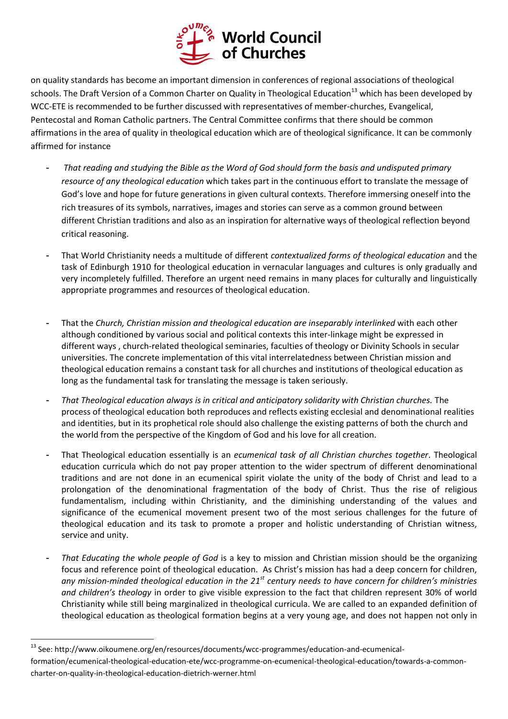

on quality standards has become an important dimension in conferences of regional associations of theological schools. The Draft Version of a Common Charter on Quality in Theological Education<sup>13</sup> which has been developed by WCC-ETE is recommended to be further discussed with representatives of member-churches, Evangelical, Pentecostal and Roman Catholic partners. The Central Committee confirms that there should be common affirmations in the area of quality in theological education which are of theological significance. It can be commonly affirmed for instance

- *That reading and studying the Bible as the Word of God should form the basis and undisputed primary resource of any theological education* which takes part in the continuous effort to translate the message of God's love and hope for future generations in given cultural contexts. Therefore immersing oneself into the rich treasures of its symbols, narratives, images and stories can serve as a common ground between different Christian traditions and also as an inspiration for alternative ways of theological reflection beyond critical reasoning.
- That World Christianity needs a multitude of different *contextualized forms of theological education* and the task of Edinburgh 1910 for theological education in vernacular languages and cultures is only gradually and very incompletely fulfilled. Therefore an urgent need remains in many places for culturally and linguistically appropriate programmes and resources of theological education.
- That the *Church, Christian mission and theological education are inseparably interlinked* with each other although conditioned by various social and political contexts this inter-linkage might be expressed in different ways , church-related theological seminaries, faculties of theology or Divinity Schools in secular universities. The concrete implementation of this vital interrelatedness between Christian mission and theological education remains a constant task for all churches and institutions of theological education as long as the fundamental task for translating the message is taken seriously.
- *That Theological education always is in critical and anticipatory solidarity with Christian churches.* The process of theological education both reproduces and reflects existing ecclesial and denominational realities and identities, but in its prophetical role should also challenge the existing patterns of both the church and the world from the perspective of the Kingdom of God and his love for all creation.
- That Theological education essentially is an *ecumenical task of all Christian churches together*. Theological education curricula which do not pay proper attention to the wider spectrum of different denominational traditions and are not done in an ecumenical spirit violate the unity of the body of Christ and lead to a prolongation of the denominational fragmentation of the body of Christ. Thus the rise of religious fundamentalism, including within Christianity, and the diminishing understanding of the values and significance of the ecumenical movement present two of the most serious challenges for the future of theological education and its task to promote a proper and holistic understanding of Christian witness, service and unity.
- *That Educating the whole people of God* is a key to mission and Christian mission should be the organizing focus and reference point of theological education. As Christ's mission has had a deep concern for children, *any mission-minded theological education in the 21st century needs to have concern for children's ministries and children's theology* in order to give visible expression to the fact that children represent 30% of world Christianity while still being marginalized in theological curricula. We are called to an expanded definition of theological education as theological formation begins at a very young age, and does not happen not only in

1

<sup>13</sup> See: http://www.oikoumene.org/en/resources/documents/wcc-programmes/education-and-ecumenical-

formation/ecumenical-theological-education-ete/wcc-programme-on-ecumenical-theological-education/towards-a-commoncharter-on-quality-in-theological-education-dietrich-werner.html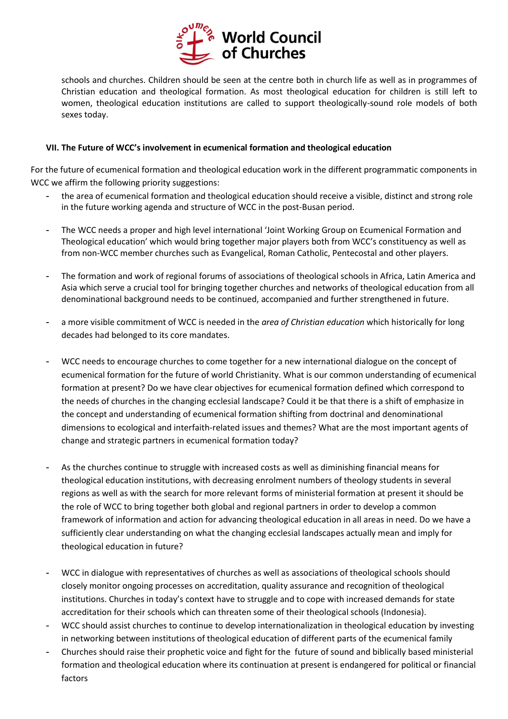

schools and churches. Children should be seen at the centre both in church life as well as in programmes of Christian education and theological formation. As most theological education for children is still left to women, theological education institutions are called to support theologically-sound role models of both sexes today.

#### **VII. The Future of WCC's involvement in ecumenical formation and theological education**

For the future of ecumenical formation and theological education work in the different programmatic components in WCC we affirm the following priority suggestions:

- the area of ecumenical formation and theological education should receive a visible, distinct and strong role in the future working agenda and structure of WCC in the post-Busan period.
- The WCC needs a proper and high level international 'Joint Working Group on Ecumenical Formation and Theological education' which would bring together major players both from WCC's constituency as well as from non-WCC member churches such as Evangelical, Roman Catholic, Pentecostal and other players.
- The formation and work of regional forums of associations of theological schools in Africa, Latin America and Asia which serve a crucial tool for bringing together churches and networks of theological education from all denominational background needs to be continued, accompanied and further strengthened in future.
- a more visible commitment of WCC is needed in the *area of Christian education* which historically for long decades had belonged to its core mandates.
- WCC needs to encourage churches to come together for a new international dialogue on the concept of ecumenical formation for the future of world Christianity. What is our common understanding of ecumenical formation at present? Do we have clear objectives for ecumenical formation defined which correspond to the needs of churches in the changing ecclesial landscape? Could it be that there is a shift of emphasize in the concept and understanding of ecumenical formation shifting from doctrinal and denominational dimensions to ecological and interfaith-related issues and themes? What are the most important agents of change and strategic partners in ecumenical formation today?
- As the churches continue to struggle with increased costs as well as diminishing financial means for theological education institutions, with decreasing enrolment numbers of theology students in several regions as well as with the search for more relevant forms of ministerial formation at present it should be the role of WCC to bring together both global and regional partners in order to develop a common framework of information and action for advancing theological education in all areas in need. Do we have a sufficiently clear understanding on what the changing ecclesial landscapes actually mean and imply for theological education in future?
- WCC in dialogue with representatives of churches as well as associations of theological schools should closely monitor ongoing processes on accreditation, quality assurance and recognition of theological institutions. Churches in today's context have to struggle and to cope with increased demands for state accreditation for their schools which can threaten some of their theological schools (Indonesia).
- WCC should assist churches to continue to develop internationalization in theological education by investing in networking between institutions of theological education of different parts of the ecumenical family
- Churches should raise their prophetic voice and fight for the future of sound and biblically based ministerial formation and theological education where its continuation at present is endangered for political or financial factors